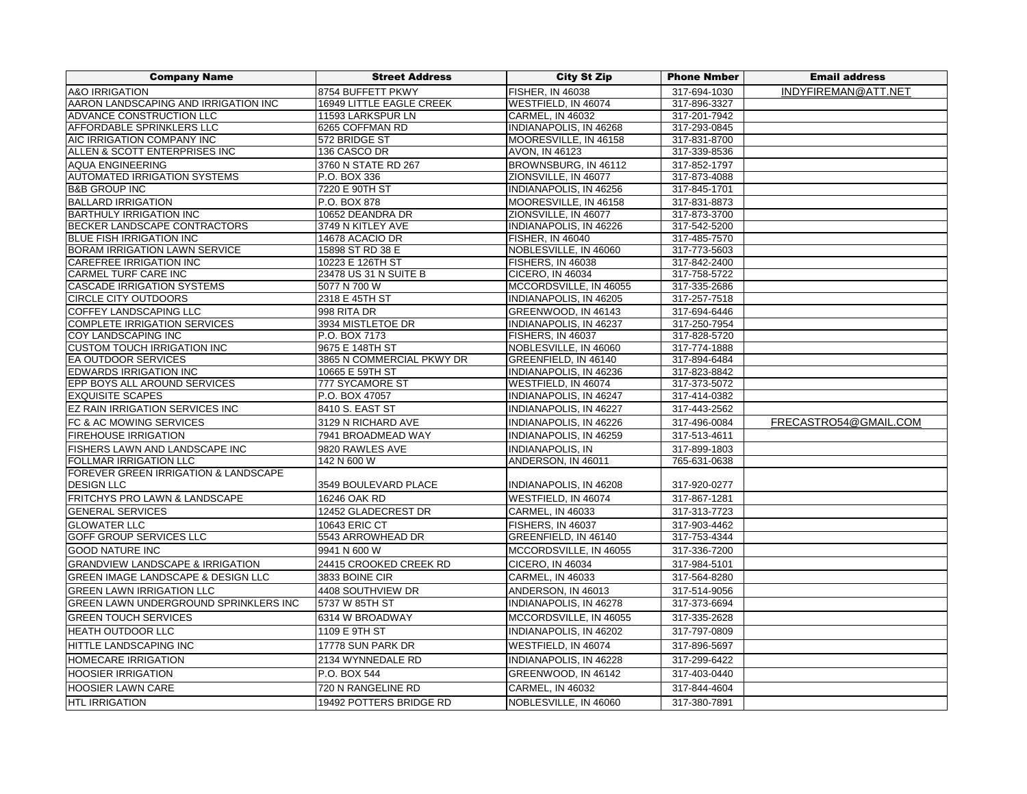| <b>Company Name</b>                             | <b>Street Address</b>     | <b>City St Zip</b>       | <b>Phone Nmber</b> | <b>Email address</b>  |
|-------------------------------------------------|---------------------------|--------------------------|--------------------|-----------------------|
| <b>A&amp;O IRRIGATION</b>                       | 8754 BUFFETT PKWY         | <b>FISHER, IN 46038</b>  | 317-694-1030       | INDYFIREMAN@ATT.NET   |
| AARON LANDSCAPING AND IRRIGATION INC            | 16949 LITTLE EAGLE CREEK  | WESTFIELD. IN 46074      | 317-896-3327       |                       |
| ADVANCE CONSTRUCTION LLC                        | 11593 LARKSPUR LN         | <b>CARMEL, IN 46032</b>  | 317-201-7942       |                       |
| AFFORDABLE SPRINKLERS LLC                       | 6265 COFFMAN RD           | INDIANAPOLIS, IN 46268   | 317-293-0845       |                       |
| AIC IRRIGATION COMPANY INC                      | 572 BRIDGE ST             | MOORESVILLE, IN 46158    | 317-831-8700       |                       |
| ALLEN & SCOTT ENTERPRISES INC                   | 136 CASCO DR              | AVON, IN 46123           | 317-339-8536       |                       |
| <b>AQUA ENGINEERING</b>                         | 3760 N STATE RD 267       | BROWNSBURG, IN 46112     | 317-852-1797       |                       |
| <b>AUTOMATED IRRIGATION SYSTEMS</b>             | P.O. BOX 336              | ZIONSVILLE, IN 46077     | 317-873-4088       |                       |
| <b>B&amp;B GROUP INC</b>                        | 7220 E 90TH ST            | INDIANAPOLIS, IN 46256   | 317-845-1701       |                       |
| <b>BALLARD IRRIGATION</b>                       | P.O. BOX 878              | MOORESVILLE, IN 46158    | 317-831-8873       |                       |
| <b>BARTHULY IRRIGATION INC</b>                  | 10652 DEANDRA DR          | ZIONSVILLE, IN 46077     | 317-873-3700       |                       |
| BECKER LANDSCAPE CONTRACTORS                    | 3749 N KITLEY AVE         | INDIANAPOLIS, IN 46226   | 317-542-5200       |                       |
| <b>BLUE FISH IRRIGATION INC</b>                 | 14678 ACACIO DR           | <b>FISHER, IN 46040</b>  | 317-485-7570       |                       |
| <b>BORAM IRRIGATION LAWN SERVICE</b>            | 15898 ST RD 38 E          | NOBLESVILLE, IN 46060    | 317-773-5603       |                       |
| CAREFREE IRRIGATION INC                         | 10223 E 126TH ST          | <b>FISHERS, IN 46038</b> | 317-842-2400       |                       |
| <b>CARMEL TURF CARE INC</b>                     | 23478 US 31 N SUITE B     | CICERO, IN 46034         | 317-758-5722       |                       |
| <b>CASCADE IRRIGATION SYSTEMS</b>               | 5077 N 700 W              | MCCORDSVILLE, IN 46055   | 317-335-2686       |                       |
| <b>CIRCLE CITY OUTDOORS</b>                     | 2318 E 45TH ST            | INDIANAPOLIS, IN 46205   | 317-257-7518       |                       |
| COFFEY LANDSCAPING LLC                          | 998 RITA DR               | GREENWOOD, IN 46143      | 317-694-6446       |                       |
| <b>COMPLETE IRRIGATION SERVICES</b>             | 3934 MISTLETOE DR         | INDIANAPOLIS, IN 46237   | 317-250-7954       |                       |
| COY LANDSCAPING INC                             | P.O. BOX 7173             | FISHERS, IN 46037        | 317-828-5720       |                       |
| <b>CUSTOM TOUCH IRRIGATION INC</b>              | 9675 E 148TH ST           | NOBLESVILLE, IN 46060    | 317-774-1888       |                       |
| EA OUTDOOR SERVICES                             | 3865 N COMMERCIAL PKWY DR | GREENFIELD, IN 46140     | 317-894-6484       |                       |
| <b>EDWARDS IRRIGATION INC</b>                   | 10665 E 59TH ST           | INDIANAPOLIS, IN 46236   | 317-823-8842       |                       |
| EPP BOYS ALL AROUND SERVICES                    | 777 SYCAMORE ST           | WESTFIELD, IN 46074      | 317-373-5072       |                       |
| <b>EXQUISITE SCAPES</b>                         | P.O. BOX 47057            | INDIANAPOLIS, IN 46247   | 317-414-0382       |                       |
| EZ RAIN IRRIGATION SERVICES INC                 | 8410 S. EAST ST           | INDIANAPOLIS, IN 46227   | 317-443-2562       |                       |
| FC & AC MOWING SERVICES                         | 3129 N RICHARD AVE        | INDIANAPOLIS, IN 46226   | 317-496-0084       | FRECASTRO54@GMAIL.COM |
| <b>FIREHOUSE IRRIGATION</b>                     | 7941 BROADMEAD WAY        | INDIANAPOLIS, IN 46259   | 317-513-4611       |                       |
| FISHERS LAWN AND LANDSCAPE INC                  | 9820 RAWLES AVE           | INDIANAPOLIS, IN         | 317-899-1803       |                       |
| FOLLMAR IRRIGATION LLC                          | 142 N 600 W               | ANDERSON, IN 46011       | 765-631-0638       |                       |
| <b>FOREVER GREEN IRRIGATION &amp; LANDSCAPE</b> |                           |                          |                    |                       |
| <b>DESIGN LLC</b>                               | 3549 BOULEVARD PLACE      | INDIANAPOLIS, IN 46208   | 317-920-0277       |                       |
| FRITCHYS PRO LAWN & LANDSCAPE                   | 16246 OAK RD              | WESTFIELD, IN 46074      | 317-867-1281       |                       |
| <b>GENERAL SERVICES</b>                         | 12452 GLADECREST DR       | <b>CARMEL, IN 46033</b>  | 317-313-7723       |                       |
| <b>GLOWATER LLC</b>                             | 10643 ERIC CT             | <b>FISHERS. IN 46037</b> | 317-903-4462       |                       |
| <b>GOFF GROUP SERVICES LLC</b>                  | 5543 ARROWHEAD DR         | GREENFIELD, IN 46140     | 317-753-4344       |                       |
| <b>GOOD NATURE INC</b>                          | 9941 N 600 W              | MCCORDSVILLE, IN 46055   | 317-336-7200       |                       |
| <b>GRANDVIEW LANDSCAPE &amp; IRRIGATION</b>     | 24415 CROOKED CREEK RD    | CICERO, IN 46034         | 317-984-5101       |                       |
| GREEN IMAGE LANDSCAPE & DESIGN LLC              | 3833 BOINE CIR            | <b>CARMEL, IN 46033</b>  | 317-564-8280       |                       |
| <b>GREEN LAWN IRRIGATION LLC</b>                | 4408 SOUTHVIEW DR         | ANDERSON, IN 46013       | 317-514-9056       |                       |
| <b>GREEN LAWN UNDERGROUND SPRINKLERS INC</b>    | 5737 W 85TH ST            | INDIANAPOLIS, IN 46278   | 317-373-6694       |                       |
| <b>GREEN TOUCH SERVICES</b>                     | 6314 W BROADWAY           | MCCORDSVILLE, IN 46055   | 317-335-2628       |                       |
| <b>HEATH OUTDOOR LLC</b>                        | 1109 E 9TH ST             | INDIANAPOLIS, IN 46202   | 317-797-0809       |                       |
| HITTLE LANDSCAPING INC                          | 17778 SUN PARK DR         | WESTFIELD, IN 46074      | 317-896-5697       |                       |
| HOMECARE IRRIGATION                             | 2134 WYNNEDALE RD         | INDIANAPOLIS, IN 46228   | 317-299-6422       |                       |
| <b>HOOSIER IRRIGATION</b>                       | P.O. BOX 544              | GREENWOOD, IN 46142      | 317-403-0440       |                       |
| <b>HOOSIER LAWN CARE</b>                        | 720 N RANGELINE RD        | <b>CARMEL, IN 46032</b>  | 317-844-4604       |                       |
|                                                 |                           |                          |                    |                       |
| <b>HTL IRRIGATION</b>                           | 19492 POTTERS BRIDGE RD   | NOBLESVILLE, IN 46060    | 317-380-7891       |                       |